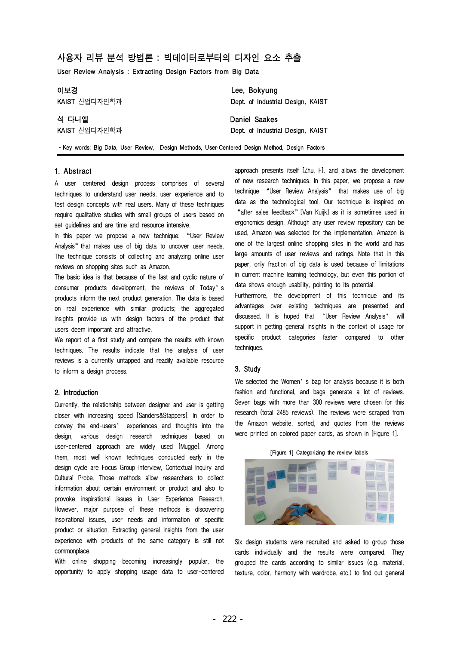# 사용자 리뷰 분석 방법론 : 빅데이터로부터의 디자인 요소 추출 사용자 리뷰 분석 방법론 : 빅데이터로부터의 디자인 요소 <u>:</u><br>User Review Analysis : Extracting Design Factors from Big Data

| 사용자 리뷰 분석 방법론 : 빅데이터로부터의 디자인 요소 추출<br>User Review Analysis: Extracting Design Factors from Big Data |                                               |  |  |
|-----------------------------------------------------------------------------------------------------|-----------------------------------------------|--|--|
| 이보경                                                                                                 | Lee, Bokyung                                  |  |  |
| KAIST 산업디자인학과                                                                                       | Dept. of Industrial Design, KAIST             |  |  |
| 석 다니엘                                                                                               | Daniel Saakes                                 |  |  |
| KAIST 산업디자인학과                                                                                       | Dept. of Industrial Design, KAIST             |  |  |
| • Key words: Big Data, User Review, Design Methods, User-Centered Design Method, Design Factors     |                                               |  |  |
| 1. Abstract                                                                                         | approach presents itself [Zhu. F], and allows |  |  |
| A user centered design process comprises of several                                                 | of new research techniques. In this paper, we |  |  |

techniques to understand user needs, user experience and to test design concepts with real users. Many of these techniques require qualitative studies with small groups of users based on set guidelines and are time and resource intensive.

In this paper we propose a new technique: "User Review Analysis" that makes use of big data to uncover user needs. The technique consists of collecting and analyzing online user reviews on shopping sites such as Amazon.

The basic idea is that because of the fast and cyclic nature of consumer products development, the reviews of Today's products inform the next product generation. The data is based on real experience with similar products; the aggregated insights provide us with design factors of the product that users deem important and attractive.

We report of a first study and compare the results with known techniques. The results indicate that the analysis of user reviews is a currently untapped and readily available resource to inform a design process.

# 2. Introduction

Currently, the relationship between designer and user is getting closer with increasing speed [Sanders&Stappers]. In order to convey the end-users' experiences and thoughts into the design, various design research techniques based on user-centered approach are widely used [Mugge]. Among them, most well known techniques conducted early in the design cycle are Focus Group Interview, Contextual Inquiry and Cultural Probe. Those methods allow researchers to collect information about certain environment or product and also to provoke inspirational issues in User Experience Research. However, major purpose of these methods is discovering inspirational issues, user needs and information of specific product or situation. Extracting general insights from the user experience with products of the same category is still not commonplace.

With online shopping becoming increasingly popular, the opportunity to apply shopping usage data to user-centered approach presents itself [Zhu. F], and allows the development of new research techniques. In this paper, we propose a new technique "User Review Analysis" that makes use of big data as the technological tool. Our technique is inspired on "after sales feedback"[Van Kuijk] as it is sometimes used in ergonomics design. Although any user review repository can be used, Amazon was selected for the implementation. Amazon is one of the largest online shopping sites in the world and has large amounts of user reviews and ratings. Note that in this paper, only fraction of big data is used because of limitations in current machine learning technology, but even this portion of data shows enough usability, pointing to its potential.

Furthermore, the development of this technique and its advantages over existing techniques are presented and discussed. It is hoped that 'User Review Analysis' will support in getting general insights in the context of usage for specific product categories faster compared to other techniques.

# 3. Study

We selected the Women's bag for analysis because it is both fashion and functional, and bags generate a lot of reviews. Seven bags with more than 300 reviews were chosen for this research (total 2485 reviews). The reviews were scraped from the Amazon website, sorted, and quotes from the reviews<br>were printed on colored paper cards, as shown in [Figure 1].<br>[Figure 1] Categorizing the review labels were printed on colored paper cards, as shown in [Figure 1].





Six design students were recruited and asked to group those cards individually and the results were compared. They grouped the cards according to similar issues (e.g. material, texture, color, harmony with wardrobe. etc.) to find out general